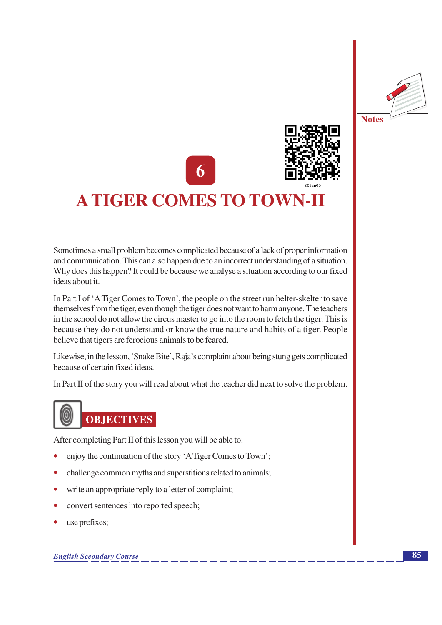



## **A TIGER COMES TO TOWN-II**

Sometimes a small problem becomes complicated because of a lack of proper information and communication. This can also happen due to an incorrect understanding of a situation. Why does this happen? It could be because we analyse a situation according to our fixed ideas about it.

In Part I of 'A Tiger Comes to Town', the people on the street run helter-skelter to save themselves from the tiger, even though the tiger does not want to harm anyone. The teachers in the school do not allow the circus master to go into the room to fetch the tiger. This is because they do not understand or know the true nature and habits of a tiger. People believe that tigers are ferocious animals to be feared.

Likewise, in the lesson, 'Snake Bite', Raja's complaint about being stung gets complicated because of certain fixed ideas.

In Part II of the story you will read about what the teacher did next to solve the problem.



After completing Part II of this lesson you will be able to:

- enjoy the continuation of the story 'A Tiger Comes to Town';
- challenge common myths and superstitions related to animals;
- $\bullet$ write an appropriate reply to a letter of complaint;
- $\bullet$ convert sentences into reported speech;
- use prefixes;  $\bullet$

**English Secondary Course**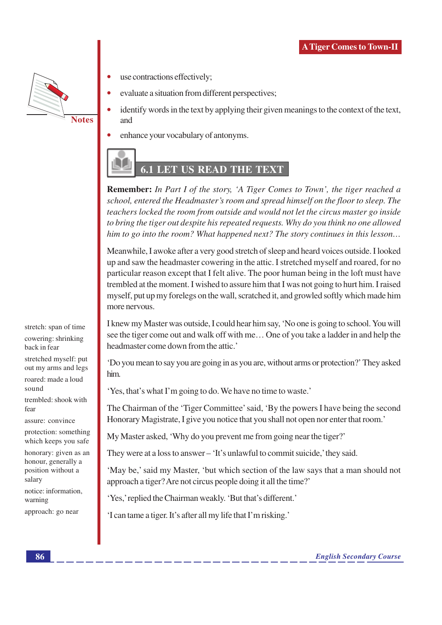

use contractions effectively;

- evaluate a situation from different perspectives;
- identify words in the text by applying their given meanings to the context of the text, and
- enhance your vocabulary of antonyms.

## **6.1 LET US READ THE TEXT**

**Remember:** In Part I of the story, 'A Tiger Comes to Town', the tiger reached a school, entered the Headmaster's room and spread himself on the floor to sleep. The teachers locked the room from outside and would not let the circus master go inside to bring the tiger out despite his repeated requests. Why do you think no one allowed him to go into the room? What happened next? The story continues in this lesson...

Meanwhile, I awoke after a very good stretch of sleep and heard voices outside. I looked up and saw the headmaster cowering in the attic. I stretched myself and roared, for no particular reason except that I felt alive. The poor human being in the loft must have trembled at the moment. I wished to assure him that I was not going to hurt him. I raised myself, put up my forelegs on the wall, scratched it, and growled softly which made him more nervous.

I knew my Master was outside, I could hear him say, 'No one is going to school. You will see the tiger come out and walk off with me... One of you take a ladder in and help the headmaster come down from the attic.'

'Do you mean to say you are going in as you are, without arms or protection?' They asked him.

'Yes, that's what I'm going to do. We have no time to waste.'

The Chairman of the 'Tiger Committee' said, 'By the powers I have being the second Honorary Magistrate, I give you notice that you shall not open nor enter that room.'

My Master asked, 'Why do you prevent me from going near the tiger?'

They were at a loss to answer – 'It's unlawful to commit suicide,' they said.

'May be,' said my Master, 'but which section of the law says that a man should not approach a tiger? Are not circus people doing it all the time?'

'Yes,' replied the Chairman weakly. 'But that's different.'

'I can tame a tiger. It's after all my life that I'm risking.'

stretch: span of time cowering: shrinking back in fear stretched myself: put

out my arms and legs roared: made a loud sound

trembled: shook with fear

assure: convince

protection: something which keeps you safe

honorary: given as an honour, generally a position without a salary

notice: information, warning

approach: go near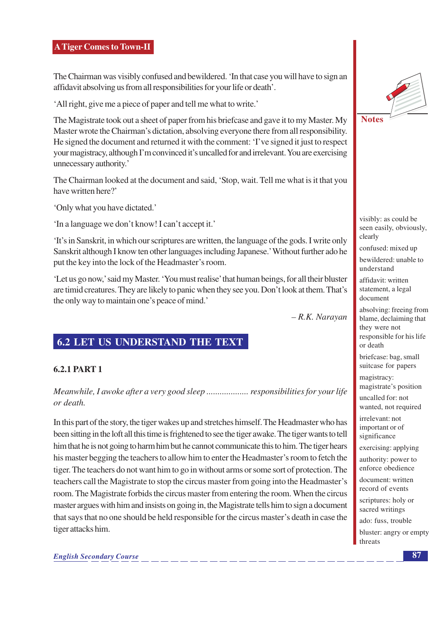The Chairman was visibly confused and bewildered. 'In that case you will have to sign an affidavit absolving us from all responsibilities for your life or death'.

'All right, give me a piece of paper and tell me what to write.'

The Magistrate took out a sheet of paper from his briefcase and gave it to my Master. My Master wrote the Chairman's dictation, absolving everyone there from all responsibility. He signed the document and returned it with the comment: 'I've signed it just to respect your magistracy, although I'm convinced it's uncalled for and irrelevant. You are exercising unnecessary authority.'

The Chairman looked at the document and said, 'Stop, wait. Tell me what is it that you have written here?'

'Only what you have dictated.'

'In a language we don't know! I can't accept it.'

'It's in Sanskrit, in which our scriptures are written, the language of the gods. I write only Sanskrit although I know ten other languages including Japanese.' Without further ado he put the key into the lock of the Headmaster's room.

'Let us go now,' said my Master. 'You must realise' that human beings, for all their bluster are timid creatures. They are likely to panic when they see you. Don't look at them. That's the only way to maintain one's peace of mind.'

- R.K. Narayan

#### **6.2 LET US UNDERSTAND THE TEXT**

#### **6.2.1 PART 1**

Meanwhile, I awoke after a very good sleep ..................... responsibilities for your life or death.

In this part of the story, the tiger wakes up and stretches himself. The Headmaster who has been sitting in the loft all this time is frightened to see the tiger awake. The tiger wants to tell him that he is not going to harm him but he cannot communicate this to him. The tiger hears his master begging the teachers to allow him to enter the Headmaster's room to fetch the tiger. The teachers do not want him to go in without arms or some sort of protection. The teachers call the Magistrate to stop the circus master from going into the Headmaster's room. The Magistrate forbids the circus master from entering the room. When the circus master argues with him and insists on going in, the Magistrate tells him to sign a document that says that no one should be held responsible for the circus master's death in case the tiger attacks him.



visibly: as could be seen easily, obviously, clearly

confused: mixed up

bewildered: unable to understand

affidavit: written statement, a legal document

absolving: freeing from blame, declaiming that they were not responsible for his life or death

briefcase: bag, small suitcase for papers

magistracy: magistrate's position

uncalled for: not wanted, not required

irrelevant: not important or of significance

exercising: applying

authority: power to enforce obedience

document: written record of events

scriptures: holy or sacred writings

ado: fuss, trouble bluster: angry or empty threats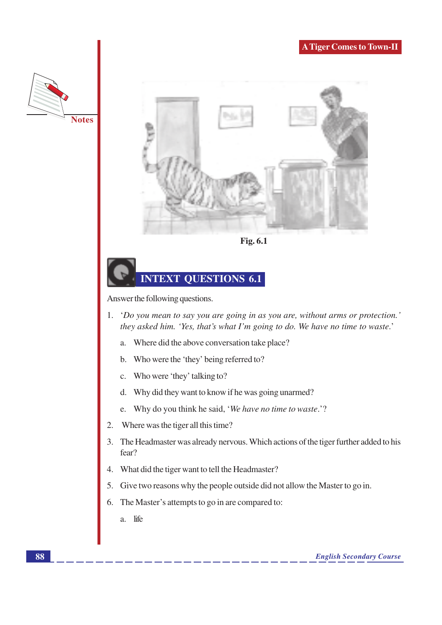



Fig. 6.1

## **INTEXT QUESTIONS 6.1**

Answer the following questions.

- 'Do you mean to say you are going in as you are, without arms or protection.' 1. they asked him. 'Yes, that's what I'm going to do. We have no time to waste.'
	- Where did the above conversation take place? a.
	- Who were the 'they' being referred to? b.
	- Who were 'they' talking to?  $\mathbf{C}$  .
	- Why did they want to know if he was going unarmed?  $d.$
	- e. Why do you think he said, 'We have no time to waste.'?
- Where was the tiger all this time?  $2.$
- 3. The Headmaster was already nervous. Which actions of the tiger further added to his fear?
- What did the tiger want to tell the Headmaster? 4.
- 5. Give two reasons why the people outside did not allow the Master to go in.
- The Master's attempts to go in are compared to: 6.
	- life  $\overline{a}$ .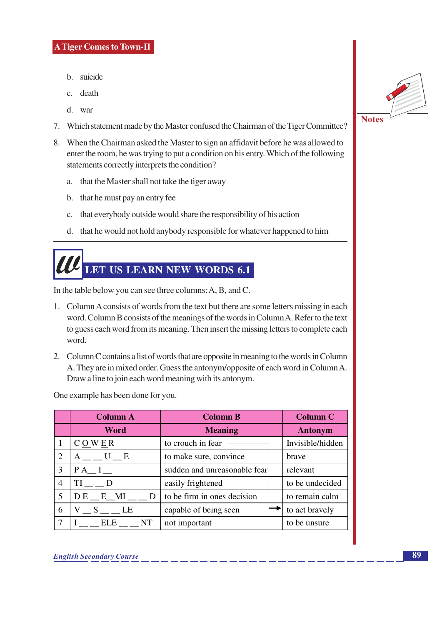- b. suicide
- c. death
- d. war
- 7. Which statement made by the Master confused the Chairman of the Tiger Committee?
- 8. When the Chairman asked the Master to sign an affidavit before he was allowed to enter the room, he was trying to put a condition on his entry. Which of the following statements correctly interprets the condition?
	- a. that the Master shall not take the tiger away
	- b. that he must pay an entry fee
	- that everybody outside would share the responsibility of his action  $c.$
	- d. that he would not hold anybody responsible for whatever happened to him

# LET US LEARN NEW WORDS 6.1

In the table below you can see three columns: A, B, and C.

- 1. Column A consists of words from the text but there are some letters missing in each word. Column B consists of the meanings of the words in Column A. Refer to the text to guess each word from its meaning. Then insert the missing letters to complete each word.
- 2. Column C contains a list of words that are opposite in meaning to the words in Column A. They are in mixed order. Guess the antonym/opposite of each word in Column A. Draw a line to join each word meaning with its antonym.

One example has been done for you.

|                | <b>Column A</b>                    | <b>Column B</b>              | <b>Column C</b>  |
|----------------|------------------------------------|------------------------------|------------------|
|                | <b>Word</b>                        | <b>Meaning</b>               | <b>Antonym</b>   |
|                | CQWE                               | to crouch in fear            | Invisible/hidden |
| $\overline{2}$ | $A \_ U \_ E$                      | to make sure, convince       | brave            |
| 3              | $PA$ <sub><math>I</math></sub> $I$ | sudden and unreasonable fear | relevant         |
| $\overline{4}$ | TI D                               | easily frightened            | to be undecided  |
| 5              | $DE$ <sub>_</sub> E_MI___D         | to be firm in ones decision  | to remain calm   |
| 6              | ${\rm V\_S}$ $\_$ LE               | capable of being seen        | to act bravely   |
| 7              | I ELE NT                           | not important                | to be unsure     |

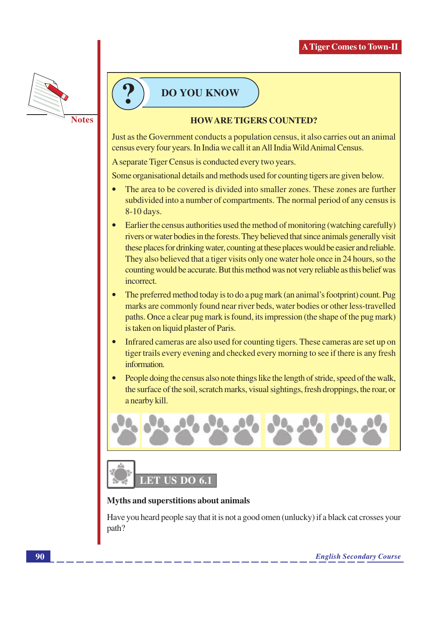

### **DO YOU KNOW**

#### **HOWARE TIGERS COUNTED?**

Just as the Government conducts a population census, it also carries out an animal census every four years. In India we call it an All India Wild Animal Census.

A separate Tiger Census is conducted every two years.

Some organisational details and methods used for counting tigers are given below.

- The area to be covered is divided into smaller zones. These zones are further subdivided into a number of compartments. The normal period of any census is 8-10 days.
- Earlier the census authorities used the method of monitoring (watching carefully) rivers or water bodies in the forests. They believed that since animals generally visit these places for drinking water, counting at these places would be easier and reliable. They also believed that a tiger visits only one water hole once in 24 hours, so the counting would be accurate. But this method was not very reliable as this belief was incorrect.
- The preferred method today is to do a pug mark (an animal's footprint) count. Pug marks are commonly found near river beds, water bodies or other less-travelled paths. Once a clear pug mark is found, its impression (the shape of the pug mark) is taken on liquid plaster of Paris.
- Infrared cameras are also used for counting tigers. These cameras are set up on tiger trails every evening and checked every morning to see if there is any fresh information.
- People doing the census also note things like the length of stride, speed of the walk, the surface of the soil, scratch marks, visual sightings, fresh droppings, the roar, or a nearby kill.





#### **Myths and superstitions about animals**

Have you heard people say that it is not a good omen (unlucky) if a black cat crosses your path?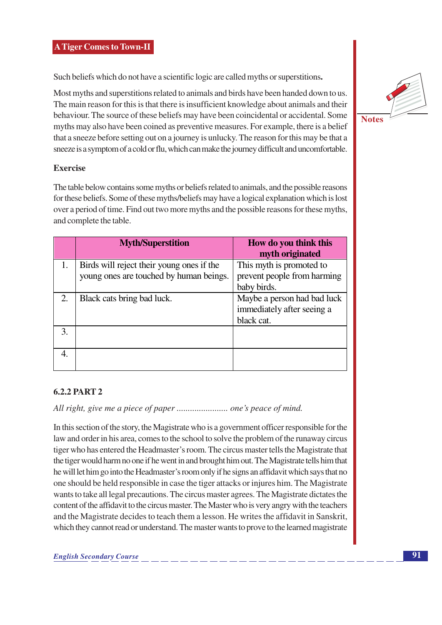Such beliefs which do not have a scientific logic are called myths or superstitions.

Most myths and superstitions related to animals and birds have been handed down to us. The main reason for this is that there is insufficient knowledge about animals and their behaviour. The source of these beliefs may have been coincidental or accidental. Some myths may also have been coined as preventive measures. For example, there is a belief that a sneeze before setting out on a journey is unlucky. The reason for this may be that a sneeze is a symptom of a cold or flu, which can make the journey difficult and uncomfortable.

#### **Exercise**

The table below contains some myths or beliefs related to animals, and the possible reasons for these beliefs. Some of these myths/beliefs may have a logical explanation which is lost over a period of time. Find out two more myths and the possible reasons for these myths, and complete the table.

|    | <b>Myth/Superstition</b>                  | How do you think this<br>myth originated |
|----|-------------------------------------------|------------------------------------------|
| 1. | Birds will reject their young ones if the | This myth is promoted to                 |
|    | young ones are touched by human beings.   | prevent people from harming              |
|    |                                           | baby birds.                              |
| 2. | Black cats bring bad luck.                | Maybe a person had bad luck              |
|    |                                           | immediately after seeing a               |
|    |                                           | black cat.                               |
| 3. |                                           |                                          |
|    |                                           |                                          |
|    |                                           |                                          |
|    |                                           |                                          |

#### **6.2.2 PART 2**

All right, give me a piece of paper .......................... one's peace of mind.

In this section of the story, the Magistrate who is a government officer responsible for the law and order in his area, comes to the school to solve the problem of the runaway circus tiger who has entered the Headmaster's room. The circus master tells the Magistrate that the tiger would harm no one if he went in and brought him out. The Magistrate tells him that he will let him go into the Headmaster's room only if he signs an affidavit which says that no one should be held responsible in case the tiger attacks or injures him. The Magistrate wants to take all legal precautions. The circus master agrees. The Magistrate dictates the content of the affidavit to the circus master. The Master who is very angry with the teachers and the Magistrate decides to teach them a lesson. He writes the affidavit in Sanskrit, which they cannot read or understand. The master wants to prove to the learned magistrate

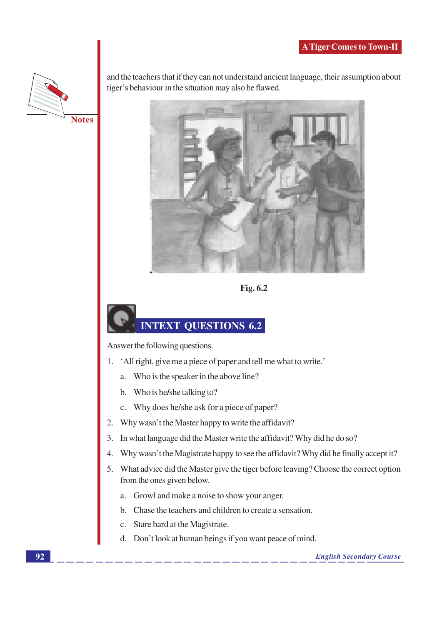

and the teachers that if they can not understand ancient language, their assumption about tiger's behaviour in the situation may also be flawed.



Fig. 6.2

## **INTEXT QUESTIONS 6.2**

Answer the following questions.

- 1. 'All right, give me a piece of paper and tell me what to write.'
	- a. Who is the speaker in the above line?
	- b. Who is he/she talking to?
	- c. Why does he/she ask for a piece of paper?
- $2.$ Why wasn't the Master happy to write the affidavit?
- 3. In what language did the Master write the affidavit? Why did he do so?
- Why wasn't the Magistrate happy to see the affidavit? Why did he finally accept it?  $\overline{4}$ .
- 5. What advice did the Master give the tiger before leaving? Choose the correct option from the ones given below.
	- a. Growl and make a noise to show your anger.
	- b. Chase the teachers and children to create a sensation.
	- c. Stare hard at the Magistrate.
	- d. Don't look at human beings if you want peace of mind.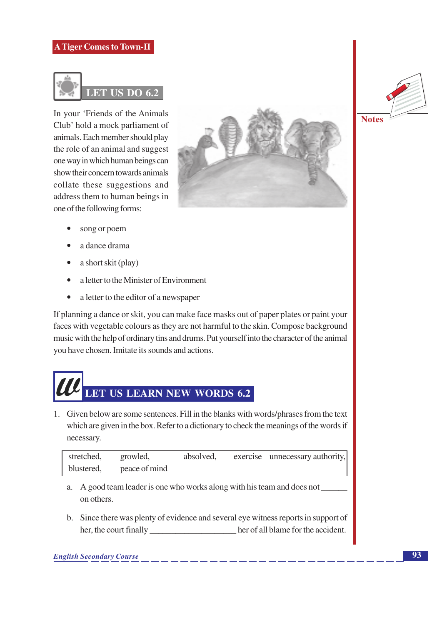

In your 'Friends of the Animals Club' hold a mock parliament of animals. Each member should play the role of an animal and suggest one way in which human beings can show their concern towards animals collate these suggestions and address them to human beings in one of the following forms:



- song or poem
- a dance drama
- a short skit (play)
- a letter to the Minister of Environment  $\bullet$
- a letter to the editor of a newspaper  $\bullet$

If planning a dance or skit, you can make face masks out of paper plates or paint your faces with vegetable colours as they are not harmful to the skin. Compose background music with the help of ordinary tins and drums. Put yourself into the character of the animal you have chosen. Imitate its sounds and actions.



1. Given below are some sentences. Fill in the blanks with words/phrases from the text which are given in the box. Refer to a dictionary to check the meanings of the words if necessary.

| stretched, | growled,      | absolved, | exercise unnecessary authority, |
|------------|---------------|-----------|---------------------------------|
| blustered, | peace of mind |           |                                 |

- a. A good team leader is one who works along with his team and does not on others.
- b. Since there was plenty of evidence and several eye witness reports in support of her, the court finally her of all blame for the accident.

#### **English Secondary Course**

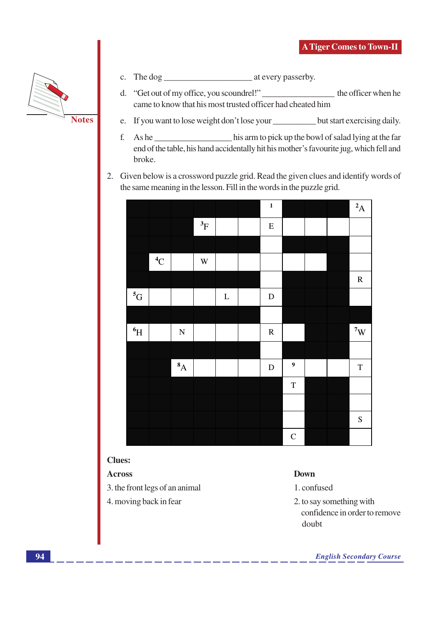

- c. The dog  $\frac{1}{2}$  at every passerby.
- d. "Get out of my office, you scoundrel!" \_\_\_\_\_\_\_\_\_\_\_\_\_\_\_ the officer when he came to know that his most trusted officer had cheated him
- e. If you want to lose weight don't lose your \_\_\_\_\_\_\_\_\_\_\_ but start exercising daily.
- his arm to pick up the bowl of salad lying at the far f. As he end of the table, his hand accidentally hit his mother's favourite jug, which fell and broke.
- 2. Given below is a crossword puzzle grid. Read the given clues and identify words of the same meaning in the lesson. Fill in the words in the puzzle grid.

|             |                |             |             |         | $\mathbf 1$ |                  |  | $^{2}$ A      |
|-------------|----------------|-------------|-------------|---------|-------------|------------------|--|---------------|
|             |                |             | $^3\!F$     |         | ${\bf E}$   |                  |  |               |
|             |                |             |             |         |             |                  |  |               |
|             | $^4\mathrm{C}$ |             | $\mathbf W$ |         |             |                  |  |               |
|             |                |             |             |         |             |                  |  | ${\bf R}$     |
| $^5{\rm G}$ |                |             |             | $\bf L$ | ${\bf D}$   |                  |  |               |
|             |                |             |             |         |             |                  |  |               |
| $\rm ^6H$   |                | $\mathbf N$ |             |         | ${\bf R}$   |                  |  | $7^{\circ}$ W |
|             |                |             |             |         |             |                  |  |               |
|             |                | $^{8}$ A    |             |         | ${\bf D}$   | $\boldsymbol{9}$ |  | $\mathbf T$   |
|             |                |             |             |         |             | $\mathbf T$      |  |               |
|             |                |             |             |         |             |                  |  |               |
|             |                |             |             |         |             |                  |  | ${\bf S}$     |
|             |                |             |             |         |             | $\mathsf C$      |  |               |

#### **Clues:**

#### **Across**

- 3. the front legs of an animal
- 4. moving back in fear

#### **Down**

- 1. confused
- 2. to say something with confidence in order to remove doubt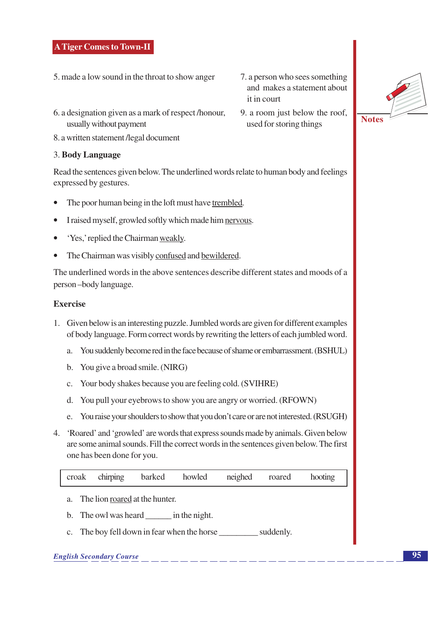- 5. made a low sound in the throat to show anger
- 6. a designation given as a mark of respect/honour, usually without payment
- 8. a written statement /legal document

#### 3. Body Language

Read the sentences given below. The underlined words relate to human body and feelings expressed by gestures.

- The poor human being in the loft must have trembled.
- I raised myself, growled softly which made him nervous.
- 'Yes,' replied the Chairman weakly.
- The Chairman was visibly confused and bewildered.

The underlined words in the above sentences describe different states and moods of a person-body language.

#### **Exercise**

- 1. Given below is an interesting puzzle. Jumbled words are given for different examples of body language. Form correct words by rewriting the letters of each jumbled word.
	- a. You suddenly become red in the face because of shame or embarrassment. (BSHUL)
	- b. You give a broad smile. (NIRG)
	- c. Your body shakes because you are feeling cold. (SVIHRE)
	- d. You pull your eyebrows to show you are angry or worried. (RFOWN)
	- e. You raise your shoulders to show that you don't care or are not interested. (RSUGH)
- 4. 'Roared' and 'growled' are words that express sounds made by animals. Given below are some animal sounds. Fill the correct words in the sentences given below. The first one has been done for you.

- a. The lion roared at the hunter.
- b. The owl was heard in the night.
- c. The boy fell down in fear when the horse suddenly.

#### **English Secondary Course**

- 7. a person who sees something and makes a statement about it in court
- 9. a room just below the roof, used for storing things

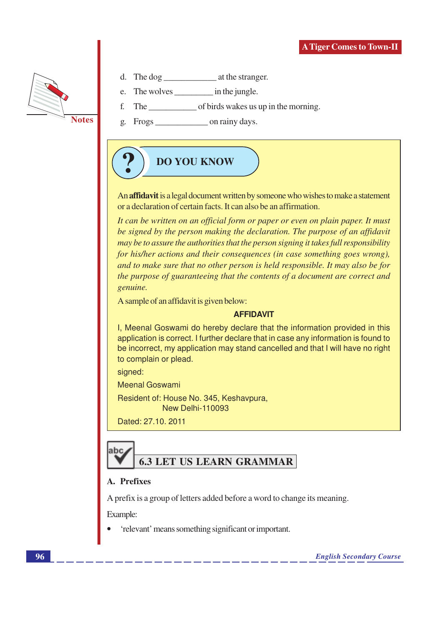

- 
- e.
- f.
- g.

## **DO YOU KNOW**

An affidavit is a legal document written by someone who wishes to make a statement or a declaration of certain facts. It can also be an affirmation.

It can be written on an official form or paper or even on plain paper. It must be signed by the person making the declaration. The purpose of an affidavit may be to assure the authorities that the person signing it takes full responsibility for his/her actions and their consequences (in case something goes wrong), and to make sure that no other person is held responsible. It may also be for the purpose of guaranteeing that the contents of a document are correct and genuine.

A sample of an affidavit is given below:

#### **AFFIDAVIT**

I, Meenal Goswami do hereby declare that the information provided in this application is correct. I further declare that in case any information is found to be incorrect, my application may stand cancelled and that I will have no right to complain or plead.

signed:

**Meenal Goswami** 

Resident of: House No. 345, Keshavpura, New Delhi-110093

Dated: 27.10, 2011

## **6.3 LET US LEARN GRAMMAR**

#### A. Prefixes

A prefix is a group of letters added before a word to change its meaning.

Example:

labc

'relevant' means something significant or important.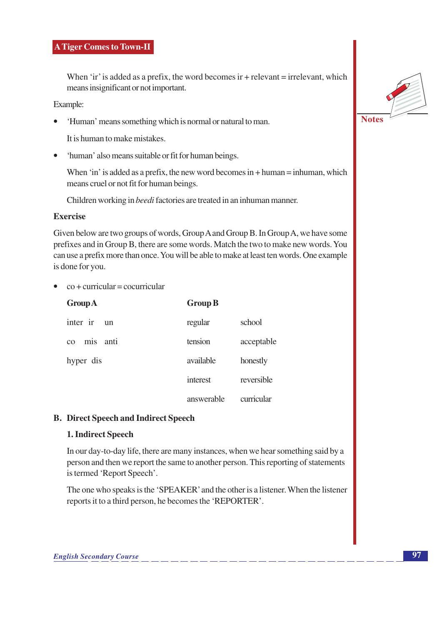When 'ir' is added as a prefix, the word becomes ir  $+$  relevant  $=$  irrelevant, which means insignificant or not important.

Example:

'Human' means something which is normal or natural to man.

It is human to make mistakes.

'human' also means suitable or fit for human beings.  $\bullet$ 

When 'in' is added as a prefix, the new word becomes in  $+$  human  $=$  inhuman, which means cruel or not fit for human beings.

Children working in beedi factories are treated in an inhuman manner.

#### Exercise

Given below are two groups of words, Group A and Group B. In Group A, we have some prefixes and in Group B, there are some words. Match the two to make new words. You can use a prefix more than once. You will be able to make at least ten words. One example is done for you.

 $\cos +$  curricular = cocurricular

| <b>Group A</b>           | <b>Group B</b> |            |
|--------------------------|----------------|------------|
| inter ir<br>$\mathbf{u}$ | regular        | school     |
| mis<br>anti<br>CO        | tension        | acceptable |
| hyper dis                | available      | honestly   |
|                          | interest       | reversible |
|                          | answerable     | curricular |

#### **B.** Direct Speech and Indirect Speech

#### 1. Indirect Speech

In our day-to-day life, there are many instances, when we hear something said by a person and then we report the same to another person. This reporting of statements is termed 'Report Speech'.

The one who speaks is the 'SPEAKER' and the other is a listener. When the listener reports it to a third person, he becomes the 'REPORTER'.

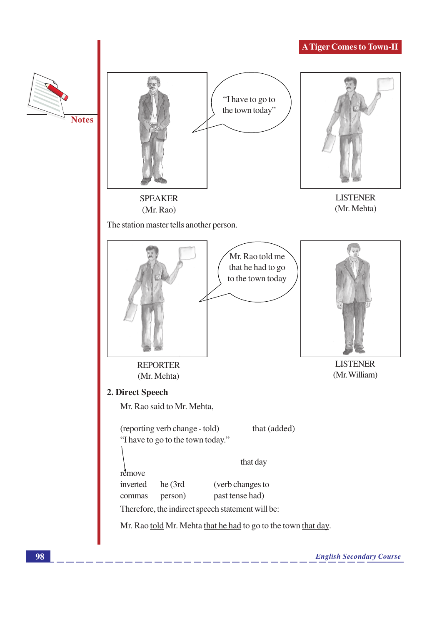

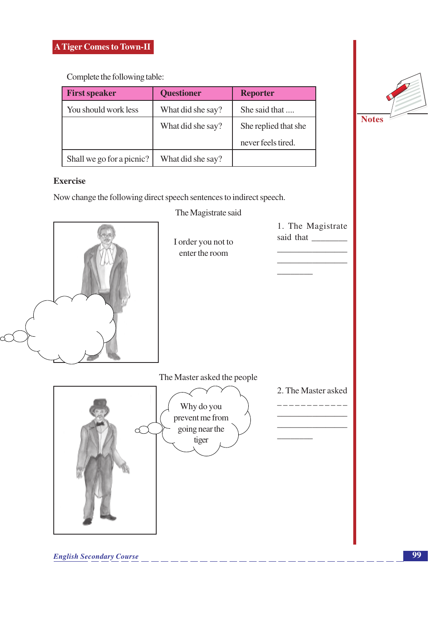Complete the following table:

| <b>First speaker</b>      | <b>Questioner</b> | <b>Reporter</b>      |
|---------------------------|-------------------|----------------------|
| You should work less      | What did she say? | She said that        |
|                           | What did she say? | She replied that she |
|                           |                   | never feels tired.   |
| Shall we go for a picnic? | What did she say? |                      |

#### **Exercise**

Now change the following direct speech sentences to indirect speech.

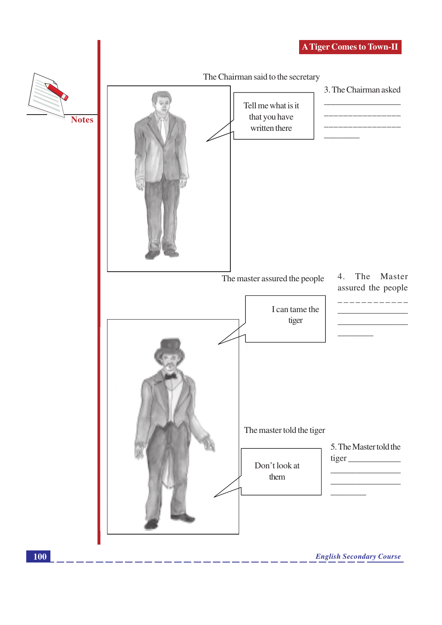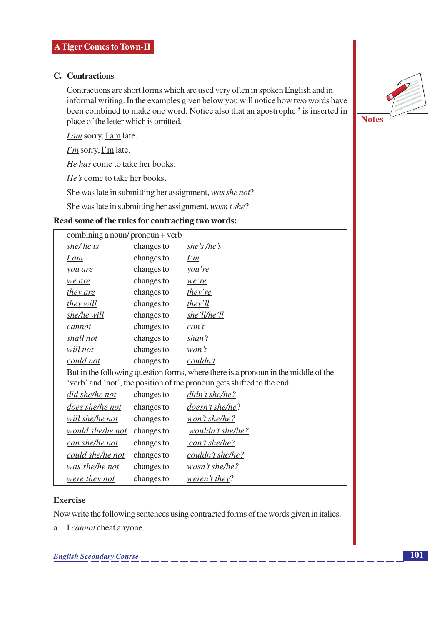#### C. Contractions

Contractions are short forms which are used very often in spoken English and in informal writing. In the examples given below you will notice how two words have been combined to make one word. Notice also that an apostrophe ' is inserted in place of the letter which is omitted.

 $I$  am sorry,  $I$  am late.

 $\Gamma$ m sorry,  $\Gamma$ m late.

He has come to take her books.

He's come to take her books.

She was late in submitting her assignment, was she not?

She was late in submitting her assignment, wasn't she?

#### Read some of the rules for contracting two words:

| combining a noun/pronoun + verb |            |                                                                                    |
|---------------------------------|------------|------------------------------------------------------------------------------------|
| she/he is                       | changes to | she's /he's                                                                        |
| I am                            | changes to | I'm                                                                                |
| you are                         | changes to | <u>you're</u>                                                                      |
| we are                          | changes to | <u>we're</u>                                                                       |
| <u>they are</u>                 | changes to | they're                                                                            |
| they will                       | changes to | they'll                                                                            |
| she/he will                     | changes to | she'll/he'll                                                                       |
| cannot                          | changes to | can't                                                                              |
| shall not                       | changes to | shan't                                                                             |
| will not                        | changes to | $w$ on't                                                                           |
| could not                       | changes to | couldn't                                                                           |
|                                 |            | But in the following question forms, where there is a pronoun in the middle of the |
|                                 |            | 'verb' and 'not', the position of the pronoun gets shifted to the end.             |
| did she/he not                  | changes to | didn't she/he?                                                                     |
| does she/he not                 | changes to | doesn't she/he?                                                                    |
| will she/he not                 | changes to | won't she/he?                                                                      |
| would she/he not                | changes to | wouldn't she/he?                                                                   |
| can she/he not                  | changes to | can't she/he?                                                                      |
| could she/he not                | changes to | couldn't she/he?                                                                   |
| was she/he not                  | changes to | wasn't she/he?                                                                     |
| were they not                   | changes to | weren't they?                                                                      |

#### **Exercise**

Now write the following sentences using contracted forms of the words given in italics.

a. I cannot cheat anyone.

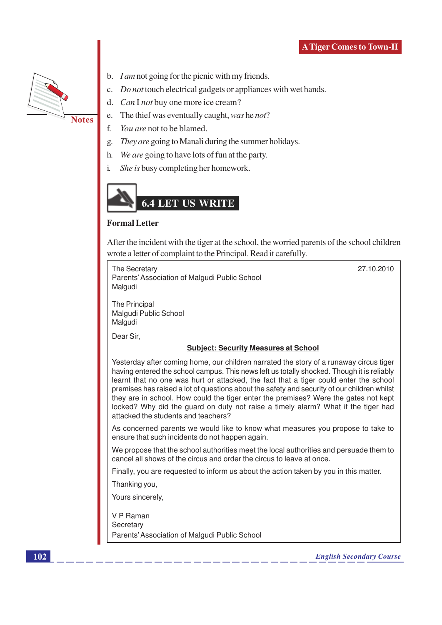

- b. *I am* not going for the picnic with my friends.
- c. *Do not* touch electrical gadgets or appliances with wet hands.
- d. Can I not buy one more ice cream?

**Notes** 

- e. The thief was eventually caught, was he not?
- $f$ You are not to be blamed.
- g. They are going to Manali during the summer holidays.
- $h$ . We are going to have lots of fun at the party.
- $\mathbf{i}$ . *She is* busy completing her homework.



#### **Formal Letter**

After the incident with the tiger at the school, the worried parents of the school children wrote a letter of complaint to the Principal. Read it carefully.

**The Secretary** Parents' Association of Malgudi Public School Malgudi

27.10.2010

The Principal Malgudi Public School Malgudi

Dear Sir.

#### **Subject: Security Measures at School**

Yesterday after coming home, our children narrated the story of a runaway circus tiger having entered the school campus. This news left us totally shocked. Though it is reliably learnt that no one was hurt or attacked, the fact that a tiger could enter the school premises has raised a lot of questions about the safety and security of our children whilst they are in school. How could the tiger enter the premises? Were the gates not kept locked? Why did the guard on duty not raise a timely alarm? What if the tiger had attacked the students and teachers?

As concerned parents we would like to know what measures you propose to take to ensure that such incidents do not happen again.

We propose that the school authorities meet the local authorities and persuade them to cancel all shows of the circus and order the circus to leave at once.

Finally, you are requested to inform us about the action taken by you in this matter.

Thanking you,

Yours sincerely,

V P Raman Secretary Parents' Association of Malgudi Public School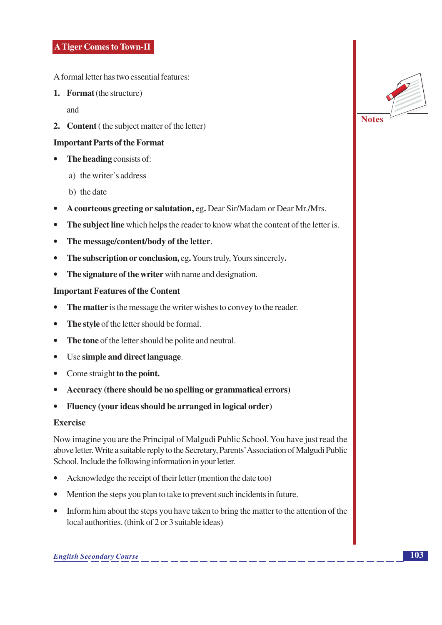A formal letter has two essential features:

1. Format (the structure)

and

2. Content (the subject matter of the letter)

#### **Important Parts of the Format**

- $\bullet$  The heading consists of:
	- a) the writer's address
	- b) the date
- A courteous greeting or salutation, eg. Dear Sir/Madam or Dear Mr./Mrs.
- The subject line which helps the reader to know what the content of the letter is.
- The message/content/body of the letter.
- The subscription or conclusion, eg. Yours truly, Yours sincerely.
- The signature of the writer with name and designation.  $\bullet$

#### **Important Features of the Content**

- The matter is the message the writer wishes to convey to the reader.
- The style of the letter should be formal.
- The tone of the letter should be polite and neutral.
- Use simple and direct language.
- Come straight to the point.
- Accuracy (there should be no spelling or grammatical errors)
- Fluency (your ideas should be arranged in logical order)  $\bullet$

#### **Exercise**

Now imagine you are the Principal of Malgudi Public School. You have just read the above letter. Write a suitable reply to the Secretary, Parents' Association of Malgudi Public School. Include the following information in your letter.

- Acknowledge the receipt of their letter (mention the date too)
- Mention the steps you plan to take to prevent such incidents in future.
- Inform him about the steps you have taken to bring the matter to the attention of the local authorities. (think of 2 or 3 suitable ideas)

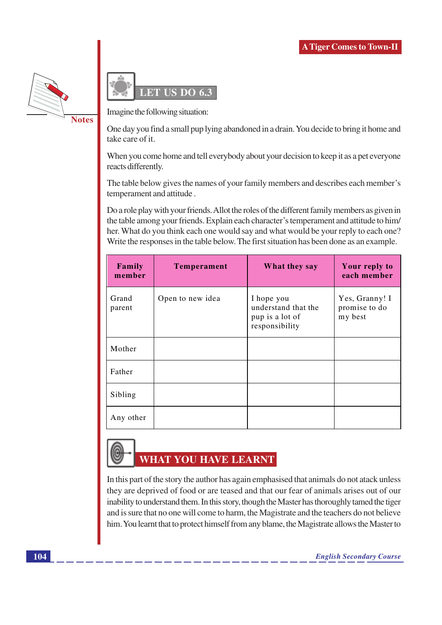

DO 6.3  $\overline{\mathrm{E}}$ 

Imagine the following situation:

One day you find a small pup lying abandoned in a drain. You decide to bring it home and take care of it.

When you come home and tell everybody about your decision to keep it as a pet everyone reacts differently.

The table below gives the names of your family members and describes each member's temperament and attitude.

Do a role play with your friends. Allot the roles of the different family members as given in the table among your friends. Explain each character's temperament and attitude to him/ her. What do you think each one would say and what would be your reply to each one? Write the responses in the table below. The first situation has been done as an example.

| Family<br>member | <b>Temperament</b> | What they say                                                          | Your reply to<br>each member               |
|------------------|--------------------|------------------------------------------------------------------------|--------------------------------------------|
| Grand<br>parent  | Open to new idea   | I hope you<br>understand that the<br>pup is a lot of<br>responsibility | Yes, Granny! I<br>promise to do<br>my best |
| Mother           |                    |                                                                        |                                            |
| Father           |                    |                                                                        |                                            |
| Sibling          |                    |                                                                        |                                            |
| Any other        |                    |                                                                        |                                            |

## **WHAT YOU HAVE LEARNT**

In this part of the story the author has again emphasised that animals do not atack unless they are deprived of food or are teased and that our fear of animals arises out of our inability to understand them. In this story, though the Master has thoroughly tamed the tiger and is sure that no one will come to harm, the Magistrate and the teachers do not believe him. You learnt that to protect himself from any blame, the Magistrate allows the Master to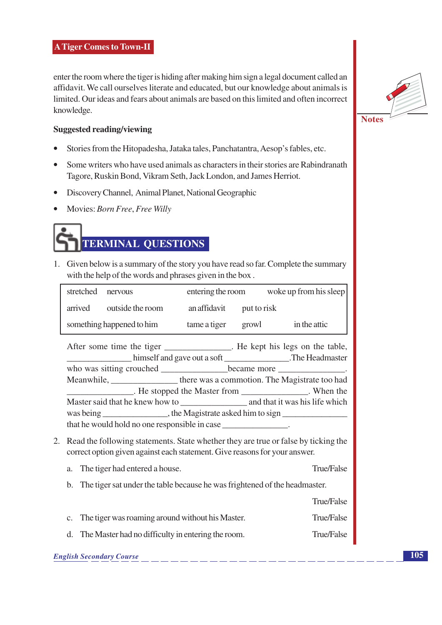enter the room where the tiger is hiding after making him sign a legal document called an affidavit. We call ourselves literate and educated, but our knowledge about animals is limited. Our ideas and fears about animals are based on this limited and often incorrect knowledge.

#### **Suggested reading/viewing**

- Stories from the Hitopadesha, Jataka tales, Panchatantra, Aesop's fables, etc.  $\bullet$
- Some writers who have used animals as characters in their stories are Rabindranath  $\bullet$ Tagore, Ruskin Bond, Vikram Seth, Jack London, and James Herriot.
- Discovery Channel, Animal Planet, National Geographic  $\bullet$
- Movies: Born Free, Free Willy



1. Given below is a summary of the story you have read so far. Complete the summary with the help of the words and phrases given in the box.

| stretched                 | nervous          | entering the room |             | woke up from his sleep |
|---------------------------|------------------|-------------------|-------------|------------------------|
| arrived                   | outside the room | an affidavit      | put to risk |                        |
| something happened to him |                  | tame a tiger      | growl       | in the attic           |

After some time the tiger \_\_\_\_\_\_\_\_\_\_\_\_\_\_\_. He kept his legs on the table, Meanwhile, \_\_\_\_\_\_\_\_\_\_\_\_\_\_\_\_\_\_\_\_ there was a commotion. The Magistrate too had He stopped the Master from New Men the Master said that he knew how to and that it was his life which the Magistrate asked him to sign was being that he would hold no one responsible in case

2. Read the following statements. State whether they are true or false by ticking the correct option given against each statement. Give reasons for your answer.

| a. The tiger had entered a house.                                             | True/False |
|-------------------------------------------------------------------------------|------------|
| b. The tiger sat under the table because he was frightened of the headmaster. |            |

True/False **True/False** c. The tiger was roaming around without his Master. d. The Master had no difficulty in entering the room. True/False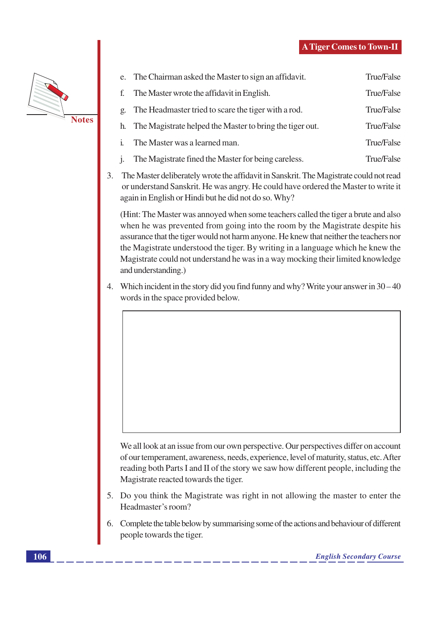

|                  | e. The Chairman asked the Master to sign an affidavit.      | True/False |
|------------------|-------------------------------------------------------------|------------|
| f.               | The Master wrote the affidavit in English.                  | True/False |
| $\mathfrak{Q}$ . | The Headmaster tried to scare the tiger with a rod.         | True/False |
|                  | h. The Magistrate helped the Master to bring the tiger out. | True/False |
| $\mathbf{i}$ .   | The Master was a learned man.                               | True/False |
| $\mathbf{1}$ .   | The Magistrate fined the Master for being careless.         | True/False |

 $\overline{3}$ . The Master deliberately wrote the affidavit in Sanskrit. The Magistrate could not read or understand Sanskrit. He was angry. He could have ordered the Master to write it again in English or Hindi but he did not do so. Why?

(Hint: The Master was annoyed when some teachers called the tiger a brute and also when he was prevented from going into the room by the Magistrate despite his assurance that the tiger would not harm anyone. He knew that neither the teachers nor the Magistrate understood the tiger. By writing in a language which he knew the Magistrate could not understand he was in a way mocking their limited knowledge and understanding.)

4. Which incident in the story did you find funny and why? Write your answer in  $30-40$ words in the space provided below.

We all look at an issue from our own perspective. Our perspectives differ on account of our temperament, awareness, needs, experience, level of maturity, status, etc. After reading both Parts I and II of the story we saw how different people, including the Magistrate reacted towards the tiger.

- 5. Do you think the Magistrate was right in not allowing the master to enter the Headmaster's room?
- Complete the table below by summarising some of the actions and behaviour of different 6. people towards the tiger.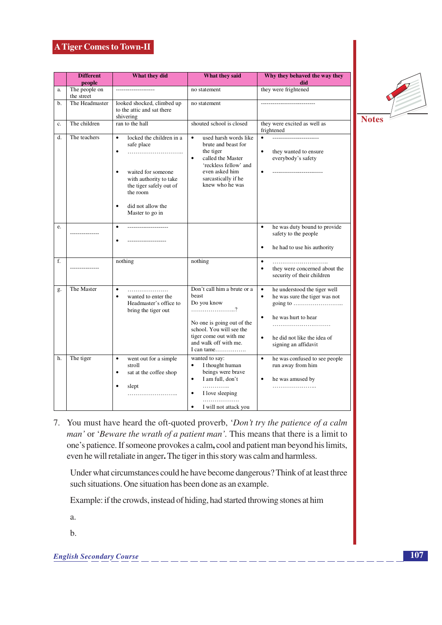|    | <b>Different</b><br>people  | What they did                                                                                                                                                                                                             | What they said                                                                                                                                                                                | Why they behaved the way they<br>did                                                                                                                                                                                                                        |
|----|-----------------------------|---------------------------------------------------------------------------------------------------------------------------------------------------------------------------------------------------------------------------|-----------------------------------------------------------------------------------------------------------------------------------------------------------------------------------------------|-------------------------------------------------------------------------------------------------------------------------------------------------------------------------------------------------------------------------------------------------------------|
| a. | The people on<br>the street |                                                                                                                                                                                                                           | no statement                                                                                                                                                                                  | they were frightened                                                                                                                                                                                                                                        |
| b. | The Headmaster              | looked shocked, climbed up<br>to the attic and sat there<br>shivering                                                                                                                                                     | no statement                                                                                                                                                                                  | -----------------------------                                                                                                                                                                                                                               |
| c. | The children                | ran to the hall                                                                                                                                                                                                           | shouted school is closed                                                                                                                                                                      | they were excited as well as<br>frightened                                                                                                                                                                                                                  |
| d. | The teachers                | $\bullet$<br>locked the children in a<br>safe place<br>$\bullet$<br>waited for someone<br>$\bullet$<br>with authority to take<br>the tiger safely out of<br>the room<br>did not allow the<br>$\bullet$<br>Master to go in | used harsh words like<br>$\bullet$<br>brute and beast for<br>the tiger<br>called the Master<br>$\bullet$<br>'reckless fellow' and<br>even asked him<br>sarcastically if he<br>knew who he was | $\bullet$<br>they wanted to ensure<br>$\bullet$<br>everybody's safety<br>$\bullet$                                                                                                                                                                          |
| e. |                             | ---------------------<br>$\bullet$                                                                                                                                                                                        |                                                                                                                                                                                               | he was duty bound to provide<br>$\bullet$<br>safety to the people<br>$\bullet$<br>he had to use his authority                                                                                                                                               |
| f. |                             | nothing                                                                                                                                                                                                                   | nothing                                                                                                                                                                                       | $\bullet$<br>$\bullet$<br>they were concerned about the<br>security of their children                                                                                                                                                                       |
| g. | The Master                  | $\bullet$<br>$\bullet$<br>wanted to enter the<br>Headmaster's office to<br>bring the tiger out                                                                                                                            | Don't call him a brute or a<br>beast<br>Do you know<br>No one is going out of the<br>school. You will see the<br>tiger come out with me<br>and walk off with me.                              | he understood the tiger well<br>$\bullet$<br>he was sure the tiger was not<br>$\bullet$<br>going to $\dots\dots\dots\dots\dots\dots\dots\dots\dots$<br>$\bullet$<br>he was hurt to hear<br>$\bullet$<br>he did not like the idea of<br>signing an affidavit |
| h. | The tiger                   | went out for a simple<br>$\bullet$<br>stroll<br>sat at the coffee shop<br>$\bullet$<br>$\bullet$<br>slept                                                                                                                 | wanted to say:<br>I thought human<br>$\bullet$<br>beings were brave<br>I am full, don't<br>$\bullet$<br>.<br>I love sleeping<br>$\bullet$<br>.<br>I will not attack you<br>٠                  | $\bullet$<br>he was confused to see people<br>run away from him<br>$\bullet$<br>he was amused by                                                                                                                                                            |



7. You must have heard the oft-quoted proverb, 'Don't try the patience of a calm man' or 'Beware the wrath of a patient man'. This means that there is a limit to one's patience. If someone provokes a calm, cool and patient man beyond his limits, even he will retaliate in anger. The tiger in this story was calm and harmless.

Under what circumstances could he have become dangerous? Think of at least three such situations. One situation has been done as an example.

Example: if the crowds, instead of hiding, had started throwing stones at him

a.

 $<sub>b</sub>$ </sub>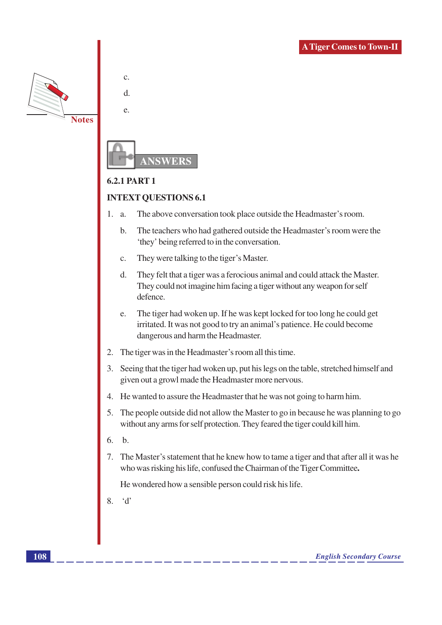

 $\mathbf{c}$ .

d.

 $\epsilon$ 



#### **6.2.1 PART 1**

#### **INTEXT QUESTIONS 6.1**

- $1.$ a. The above conversation took place outside the Headmaster's room.
	- $\mathbf b$ . The teachers who had gathered outside the Headmaster's room were the 'they' being referred to in the conversation.
	- They were talking to the tiger's Master.  $C<sub>1</sub>$
	- $d$ . They felt that a tiger was a ferocious animal and could attack the Master. They could not imagine him facing a tiger without any weapon for self defence.
	- The tiger had woken up. If he was kept locked for too long he could get e. irritated. It was not good to try an animal's patience. He could become dangerous and harm the Headmaster.
- 2. The tiger was in the Headmaster's room all this time.
- 3. Seeing that the tiger had woken up, put his legs on the table, stretched himself and given out a growl made the Headmaster more nervous.
- 4. He wanted to assure the Headmaster that he was not going to harm him.
- 5. The people outside did not allow the Master to go in because he was planning to go without any arms for self protection. They feared the tiger could kill him.
- 6.  $h$ .
- 7. The Master's statement that he knew how to tame a tiger and that after all it was he who was risking his life, confused the Chairman of the Tiger Committee.

He wondered how a sensible person could risk his life.

 $\overline{8}$  $\mathcal{A}$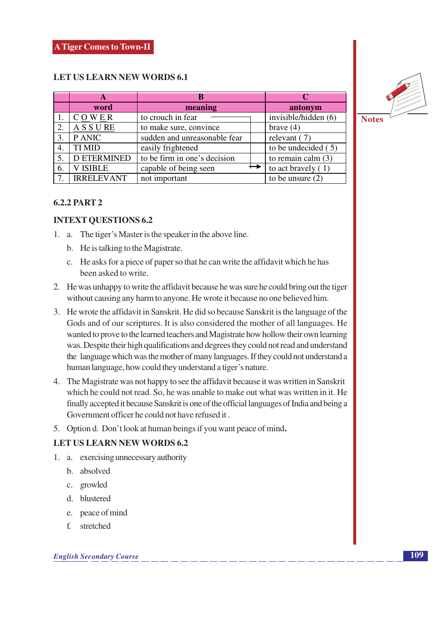#### **LET US LEARN NEW WORDS 6.1**

|    | A                  |                              |  |                       |
|----|--------------------|------------------------------|--|-----------------------|
|    | word               | meaning                      |  | antonym               |
|    | COWER              | to crouch in fear            |  | invisible/hidden (6)  |
| 2. | <b>ASSURE</b>      | to make sure, convince       |  | brave $(4)$           |
| 3. | P ANIC             | sudden and unreasonable fear |  | relevant $(7)$        |
| 4. | <b>TI MID</b>      | easily frightened            |  | to be undecided $(5)$ |
|    | <b>D ETERMINED</b> | to be firm in one's decision |  | to remain calm $(3)$  |
| 6. | <b>V ISIBLE</b>    | capable of being seen        |  | to act bravely $(1)$  |
| 7. | <b>IRRELEVANT</b>  | not important                |  | to be unsure $(2)$    |



#### **INTEXT QUESTIONS 6.2**

- 1. a. The tiger's Master is the speaker in the above line.
	- b. He is talking to the Magistrate.
	- c. He asks for a piece of paper so that he can write the affidavit which he has been asked to write.
- 2. He was unhappy to write the affidavit because he was sure he could bring out the tiger without causing any harm to anyone. He wrote it because no one believed him.
- 3. He wrote the affidavit in Sanskrit. He did so because Sanskrit is the language of the Gods and of our scriptures. It is also considered the mother of all languages. He wanted to prove to the learned teachers and Magistrate how hollow their own learning was. Despite their high qualifications and degrees they could not read and understand the language which was the mother of many languages. If they could not understand a human language, how could they understand a tiger's nature.
- 4. The Magistrate was not happy to see the affidavit because it was written in Sanskrit which he could not read. So, he was unable to make out what was written in it. He finally accepted it because Sanskrit is one of the official languages of India and being a Government officer he could not have refused it.
- 5. Option d. Don't look at human beings if you want peace of mind.

#### **LET US LEARN NEW WORDS 6.2**

- 1. a. exercising unnecessary authority
	- b. absolved
	- c. growled
	- d. blustered
	- e. peace of mind
	- f. stretched

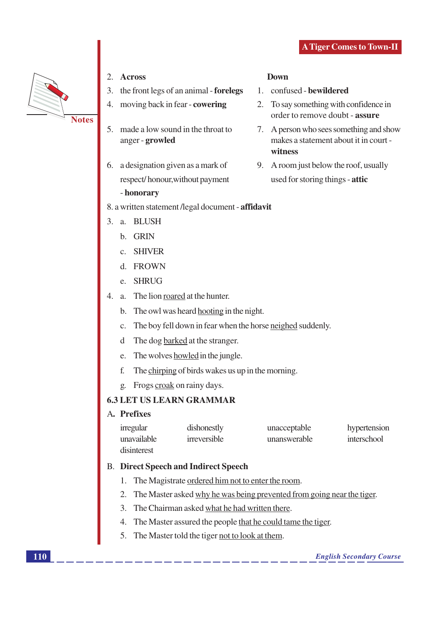**Down** 

witness

1. confused - bewildered

2. To say something with confidence in

order to remove doubt - assure

9. A room just below the roof, usually

used for storing things - attic

7. A person who sees something and show

makes a statement about it in court -



- 2. Across
- 3. the front legs of an animal forelegs
- moving back in fear cowering 4.
- 5. made a low sound in the throat to anger - growled
- 6. a designation given as a mark of respect/honour, without payment

#### - honorary

#### 8. a written statement /legal document - affidavit

- 3. a. BLUSH
	- b. GRIN
	- c. SHIVER
	- d. FROWN
	- e. SHRUG
- $4.$ a. The lion roared at the hunter.
	- b. The owl was heard hooting in the night.
	- c. The boy fell down in fear when the horse neighed suddenly.
	- d The dog barked at the stranger.
	- e. The wolves howled in the jungle.
	- f. The chirping of birds wakes us up in the morning.
	- g. Frogs croak on rainy days.

#### **6.3 LET US LEARN GRAMMAR**

#### A. Prefixes

| irregular   | dishonestly  | unacceptable | hypertension |
|-------------|--------------|--------------|--------------|
| unavailable | irreversible | unanswerable | interschool  |
| disinterest |              |              |              |

#### **B.** Direct Speech and Indirect Speech

- 1. The Magistrate ordered him not to enter the room.
- 2. The Master asked why he was being prevented from going near the tiger.
- 3. The Chairman asked what he had written there.
- 4. The Master assured the people that he could tame the tiger.
- 5. The Master told the tiger not to look at them.

#### **English Secondary Course**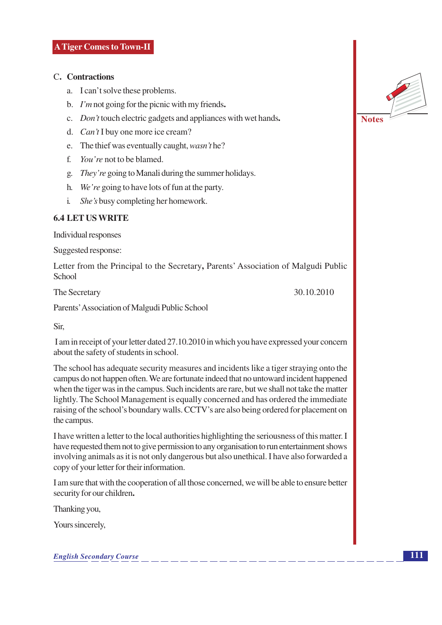#### C. Contractions

- a. I can't solve these problems.
- b.  $I'm$  not going for the picnic with my friends.
- c. *Don't* touch electric gadgets and appliances with wet hands.
- d.  $Can'tI$  buy one more ice cream?
- e. The thief was eventually caught, *wasn't* he?
- f. You're not to be blamed.
- g. They're going to Manali during the summer holidays.
- h. We're going to have lots of fun at the party.
- $\mathbf{i}$ . She's busy completing her homework.

#### **6.4 LET US WRITE**

Individual responses

Suggested response:

Letter from the Principal to the Secretary, Parents' Association of Malgudi Public School

The Secretary

30.10.2010

Parents' Association of Malgudi Public School

Sir.

I am in receipt of your letter dated 27.10.2010 in which you have expressed your concern about the safety of students in school.

The school has adequate security measures and incidents like a tiger straying onto the campus do not happen often. We are fortunate indeed that no untoward incident happened when the tiger was in the campus. Such incidents are rare, but we shall not take the matter lightly. The School Management is equally concerned and has ordered the immediate raising of the school's boundary walls. CCTV's are also being ordered for placement on the campus.

I have written a letter to the local authorities highlighting the seriousness of this matter. I have requested them not to give permission to any organisation to run entertainment shows involving animals as it is not only dangerous but also unethical. I have also forwarded a copy of your letter for their information.

I am sure that with the cooperation of all those concerned, we will be able to ensure better security for our children.

Thanking you,

Yours sincerely,

**English Secondary Course** 

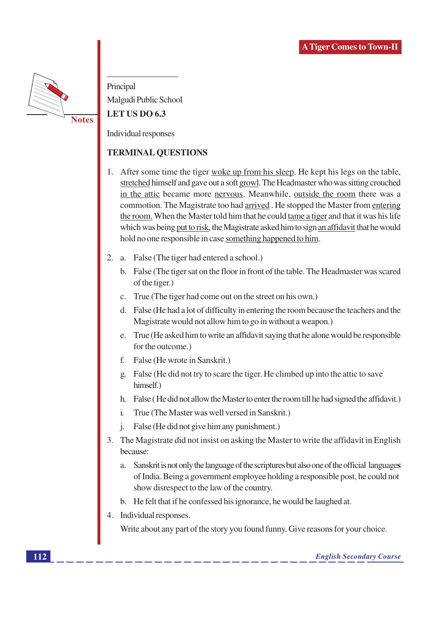

Principal Malgudi Public School LET US DO 6.3

Individual responses

#### **TERMINAL QUESTIONS**

- 1. After some time the tiger woke up from his sleep. He kept his legs on the table, stretched himself and gave out a soft growl. The Headmaster who was sitting crouched in the attic became more nervous. Meanwhile, outside the room there was a commotion. The Magistrate too had arrived. He stopped the Master from entering the room. When the Master told him that he could tame a tiger and that it was his life which was being put to risk, the Magistrate asked him to sign an affidavit that he would hold no one responsible in case something happened to him.
- 2. a. False (The tiger had entered a school.)
	- b. False (The tiger sat on the floor in front of the table. The Headmaster was scared of the tiger.)
	- c. True (The tiger had come out on the street on his own.)
	- d. False (He had a lot of difficulty in entering the room because the teachers and the Magistrate would not allow him to go in without a weapon.)
	- e. True (He asked him to write an affidavit saying that he alone would be responsible for the outcome.)
	- $f_{\cdot}$ False (He wrote in Sanskrit.)
	- g. False (He did not try to scare the tiger. He climbed up into the attic to save himself.)
	- h. False (He did not allow the Master to enter the room till he had signed the affidavit.)
	- True (The Master was well versed in Sanskrit.)  $\mathbf{i}$
	- False (He did not give him any punishment.)  $\mathbf{i}$ .
- 3. The Magistrate did not insist on asking the Master to write the affidavit in English because:
	- Sanskrit is not only the language of the scriptures but also one of the official languages  $\mathbf{a}$ of India. Being a government employee holding a responsible post, he could not show disrespect to the law of the country.
	- b. He felt that if he confessed his ignorance, he would be laughed at.
- 4. Individual responses.

Write about any part of the story you found funny. Give reasons for your choice.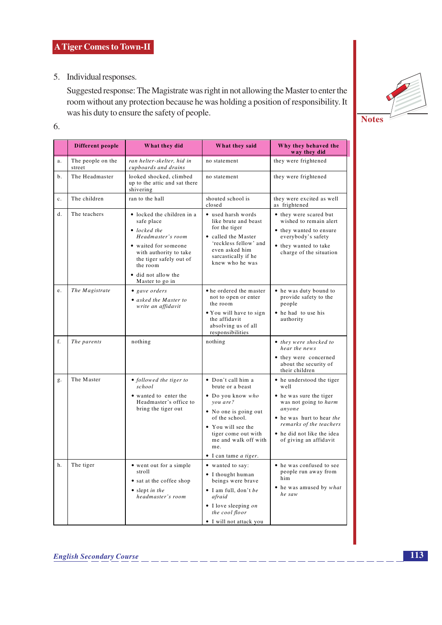5. Individual responses.

Suggested response: The Magistrate was right in not allowing the Master to enter the room without any protection because he was holding a position of responsibility. It was his duty to ensure the safety of people.



| ٠            | ۹<br>٠<br>. . |        |  |
|--------------|---------------|--------|--|
| ×<br>×<br>v. | ۰,<br>I<br>۰. | $\sim$ |  |

|             | Different people            | What they did                                                                                                                                                                                                            | What they said                                                                                                                                                                                                                  | Why they behaved the<br>way they did                                                                                                                                                                            |
|-------------|-----------------------------|--------------------------------------------------------------------------------------------------------------------------------------------------------------------------------------------------------------------------|---------------------------------------------------------------------------------------------------------------------------------------------------------------------------------------------------------------------------------|-----------------------------------------------------------------------------------------------------------------------------------------------------------------------------------------------------------------|
| a.          | The people on the<br>street | ran helter-skelter, hid in<br>cupboards and drains                                                                                                                                                                       | no statement                                                                                                                                                                                                                    | they were frightened                                                                                                                                                                                            |
| b.          | The Headmaster              | looked shocked, climbed<br>up to the attic and sat there<br>shivering                                                                                                                                                    | no statement                                                                                                                                                                                                                    | they were frightened                                                                                                                                                                                            |
| $c_{\cdot}$ | The children                | ran to the hall                                                                                                                                                                                                          | shouted school is<br>closed                                                                                                                                                                                                     | they were excited as well<br>as frightened                                                                                                                                                                      |
| d.          | The teachers                | • locked the children in a<br>safe place<br>$\bullet$ locked the<br>Headmaster's room<br>• waited for someone<br>with authority to take<br>the tiger safely out of<br>the room<br>• did not allow the<br>Master to go in | • used harsh words<br>like brute and beast<br>for the tiger<br>• called the Master<br>'reckless fellow' and<br>even asked him<br>sarcastically if he<br>knew who he was                                                         | • they were scared but<br>wished to remain alert<br>• they wanted to ensure<br>everybody's safety<br>• they wanted to take<br>charge of the situation                                                           |
| e.          | The Magistrate              | • gave orders<br>• asked the Master to<br>write an affidavit                                                                                                                                                             | • he ordered the master<br>not to open or enter<br>the room<br>• You will have to sign<br>the affidavit<br>absolving us of all<br>responsibilities                                                                              | • he was duty bound to<br>provide safety to the<br>people<br>• he had to use his<br>authority                                                                                                                   |
| f.          | The parents                 | nothing                                                                                                                                                                                                                  | nothing                                                                                                                                                                                                                         | • they were shocked to<br>hear the news<br>• they were concerned<br>about the security of<br>their children                                                                                                     |
| g.          | The Master                  | • followed the tiger to<br>school<br>• wanted to enter the<br>Headmaster's office to<br>bring the tiger out                                                                                                              | • Don't call him a<br>brute or a beast<br>· Do you know who<br>you are?<br>• No one is going out<br>of the school.<br>• You will see the<br>tiger come out with<br>me and walk off with<br>me.<br>• I can tame <i>a tiger</i> . | • he understood the tiger<br>well<br>• he was sure the tiger<br>was not going to harm<br>anyone<br>• he was hurt to hear the<br>remarks of the teachers<br>• he did not like the idea<br>of giving an affidavit |
| h.          | The tiger                   | • went out for a simple<br>stroll<br>• sat at the coffee shop<br>• slept in the<br>headmaster's room                                                                                                                     | • wanted to say:<br>• I thought human<br>beings were brave<br>$\bullet$ I am full, don't be<br>afraid<br>$\bullet$ I love sleeping on<br>the cool floor<br>• I will not attack you                                              | • he was confused to see<br>people run away from<br>him<br>• he was amused by what<br>he saw                                                                                                                    |